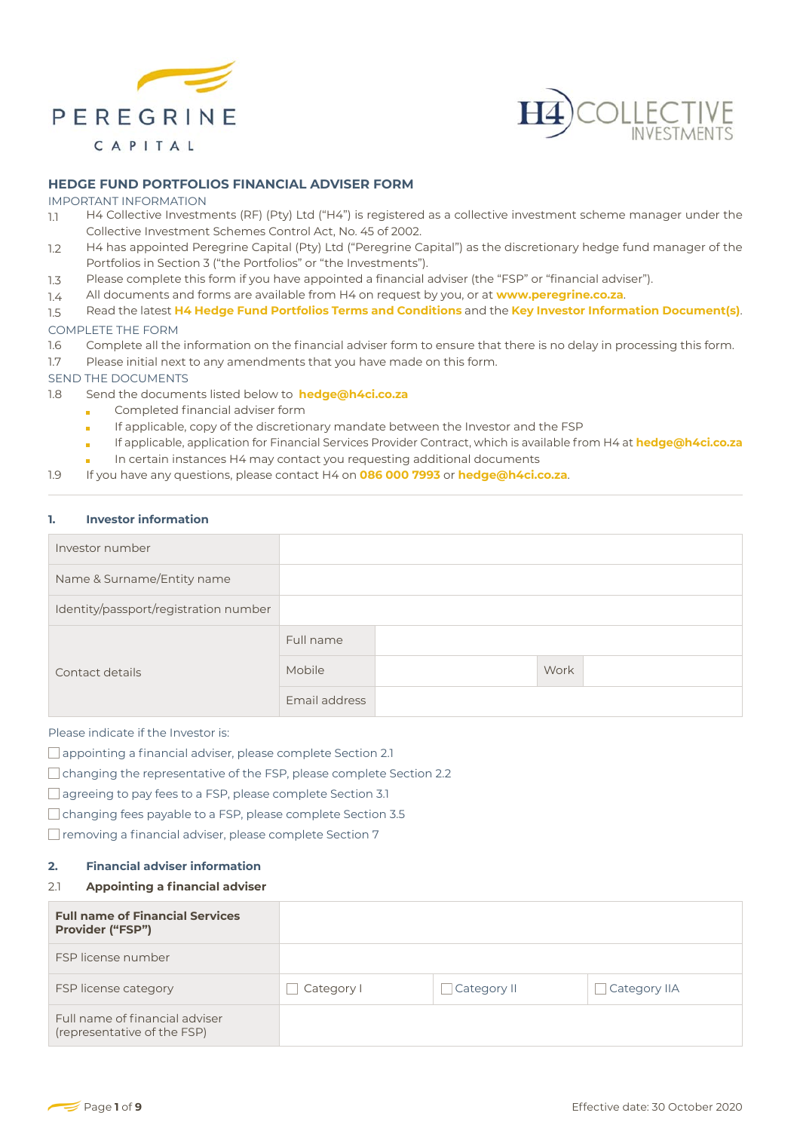



## **HEDGE FUND PORTFOLIOS FINANCIAL ADVISER FORM**

#### IMPORTANT INFORMATION

- 1.1 H4 Collective Investments (RF) (Pty) Ltd ("H4") is registered as a collective investment scheme manager under the Collective Investment Schemes Control Act, No. 45 of 2002.
- 12 H4 has appointed Peregrine Capital (Pty) Ltd ("Peregrine Capital") as the discretionary hedge fund manager of the Portfolios in Section 3 ("the Portfolios" or "the Investments").
- 1.3 Please complete this form if you have appointed a financial adviser (the "FSP" or "financial adviser").
- 1.4 All documents and forms are available from H4 on request by you, or at **www.peregrine.co.za**.
- 1.5 Read the latest **H4 Hedge Fund Portfolios Terms and Conditions** and the **Key Investor Information Document(s)**.

#### COMPLETE THE FORM

- 1.6 Complete all the information on the financial adviser form to ensure that there is no delay in processing this form.
- 1.7 Please initial next to any amendments that you have made on this form.
- SEND THE DOCUMENTS
- 1.8 Send the documents listed below to **hedge@h4ci.co.za**
	- Completed financial adviser form
	- If applicable, copy of the discretionary mandate between the Investor and the FSP m.
	- If applicable, application for Financial Services Provider Contract, which is available from H4 at **hedge@h4ci.co.za** ò
		- In certain instances H4 may contact you requesting additional documents
- 1.9 If you have any questions, please contact H4 on **086 000 7993** or **hedge@h4ci.co.za**.

#### **1. Investor information**

| Investor number                       |               |      |
|---------------------------------------|---------------|------|
| Name & Surname/Entity name            |               |      |
| Identity/passport/registration number |               |      |
|                                       | Full name     |      |
| Contact details                       | Mobile        | Work |
|                                       | Email address |      |

Please indicate if the Investor is:

- □ appointing a financial adviser, please complete Section 2.1
- $\Box$  changing the representative of the FSP, please complete Section 2.2
- □ agreeing to pay fees to a FSP, please complete Section 3.1
- changing fees payable to a FSP, please complete Section 3.5
- $\Box$  removing a financial adviser, please complete Section 7

#### **2. Financial adviser information**

#### 2.1 **Appointing a financial adviser**

| <b>Full name of Financial Services</b><br><b>Provider ("FSP")</b> |            |             |              |
|-------------------------------------------------------------------|------------|-------------|--------------|
| FSP license number                                                |            |             |              |
| FSP license category                                              | Category I | Category II | Category IIA |
| Full name of financial adviser<br>(representative of the FSP)     |            |             |              |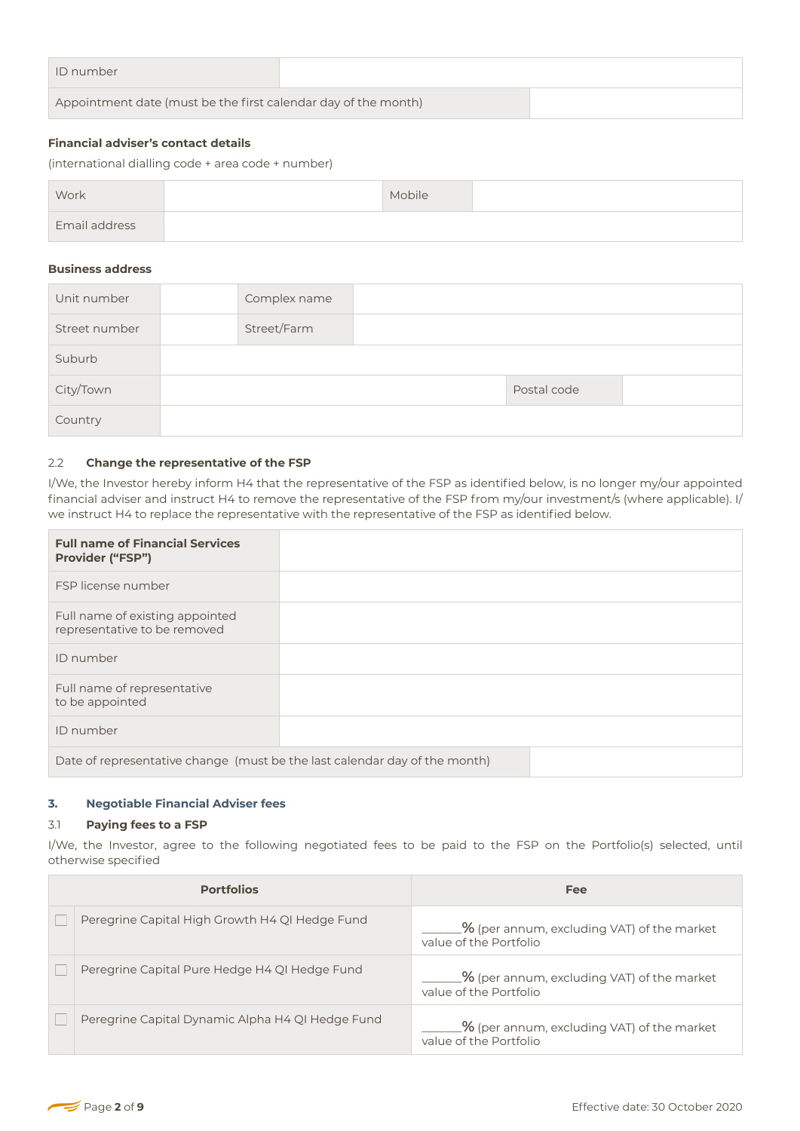| ID number                                                      |  |  |
|----------------------------------------------------------------|--|--|
| Appointment date (must be the first calendar day of the month) |  |  |

# **Financial adviser's contact details**

| Work                 | Mobile |  |
|----------------------|--------|--|
| <b>Email address</b> |        |  |

### **Business address**

| Unit number   | Complex name |             |  |
|---------------|--------------|-------------|--|
| Street number | Street/Farm  |             |  |
| Suburb        |              |             |  |
| City/Town     |              | Postal code |  |
| Country       |              |             |  |

# 2.2 **Change the representative of the FSP**

| <b>Financial adviser's contact details</b><br>(international dialling code + area code + number) |  |              |                                                                                                      |  |             |                                                                                                                                                                                                                                                        |
|--------------------------------------------------------------------------------------------------|--|--------------|------------------------------------------------------------------------------------------------------|--|-------------|--------------------------------------------------------------------------------------------------------------------------------------------------------------------------------------------------------------------------------------------------------|
| Work                                                                                             |  |              | Mobile                                                                                               |  |             |                                                                                                                                                                                                                                                        |
| Email address                                                                                    |  |              |                                                                                                      |  |             |                                                                                                                                                                                                                                                        |
| <b>Business address</b>                                                                          |  |              |                                                                                                      |  |             |                                                                                                                                                                                                                                                        |
| Unit number                                                                                      |  | Complex name |                                                                                                      |  |             |                                                                                                                                                                                                                                                        |
| Street number                                                                                    |  | Street/Farm  |                                                                                                      |  |             |                                                                                                                                                                                                                                                        |
| Suburb                                                                                           |  |              |                                                                                                      |  |             |                                                                                                                                                                                                                                                        |
| City/Town                                                                                        |  |              |                                                                                                      |  | Postal code |                                                                                                                                                                                                                                                        |
| Country                                                                                          |  |              |                                                                                                      |  |             |                                                                                                                                                                                                                                                        |
|                                                                                                  |  |              | we instruct H4 to replace the representative with the representative of the FSP as identified below. |  |             | I/We, the Investor hereby inform H4 that the representative of the FSP as identified below, is no longer my/our appointed<br>financial adviser and instruct H4 to remove the representative of the FSP from my/our investment/s (where applicable). I/ |
| <b>Full name of Financial Services</b><br>Provider ("FSP")                                       |  |              |                                                                                                      |  |             |                                                                                                                                                                                                                                                        |
| FSP license number                                                                               |  |              |                                                                                                      |  |             |                                                                                                                                                                                                                                                        |
| Full name of existing appointed<br>representative to be removed                                  |  |              |                                                                                                      |  |             |                                                                                                                                                                                                                                                        |
| ID number                                                                                        |  |              |                                                                                                      |  |             |                                                                                                                                                                                                                                                        |
| Full name of representative<br>to be appointed                                                   |  |              |                                                                                                      |  |             |                                                                                                                                                                                                                                                        |
| ID number                                                                                        |  |              |                                                                                                      |  |             |                                                                                                                                                                                                                                                        |
|                                                                                                  |  |              | Date of representative change (must be the last calendar day of the month)                           |  |             |                                                                                                                                                                                                                                                        |
|                                                                                                  |  |              |                                                                                                      |  |             |                                                                                                                                                                                                                                                        |

# **3. Negotiable Financial Adviser fees**

#### 3.1 **Paying fees to a FSP**

I/We, the Investor, agree to the following negotiated fees to be paid to the FSP on the Portfolio(s) selected, until otherwise specified

| <b>Portfolios</b>                                | <b>Fee</b>                                                                       |
|--------------------------------------------------|----------------------------------------------------------------------------------|
| Peregrine Capital High Growth H4 QI Hedge Fund   | $\frac{1}{2}$ (per annum, excluding VAT) of the market<br>value of the Portfolio |
| Peregrine Capital Pure Hedge H4 QI Hedge Fund    | $\frac{1}{2}$ (per annum, excluding VAT) of the market<br>value of the Portfolio |
| Peregrine Capital Dynamic Alpha H4 QI Hedge Fund | $\frac{1}{2}$ (per annum, excluding VAT) of the market<br>value of the Portfolio |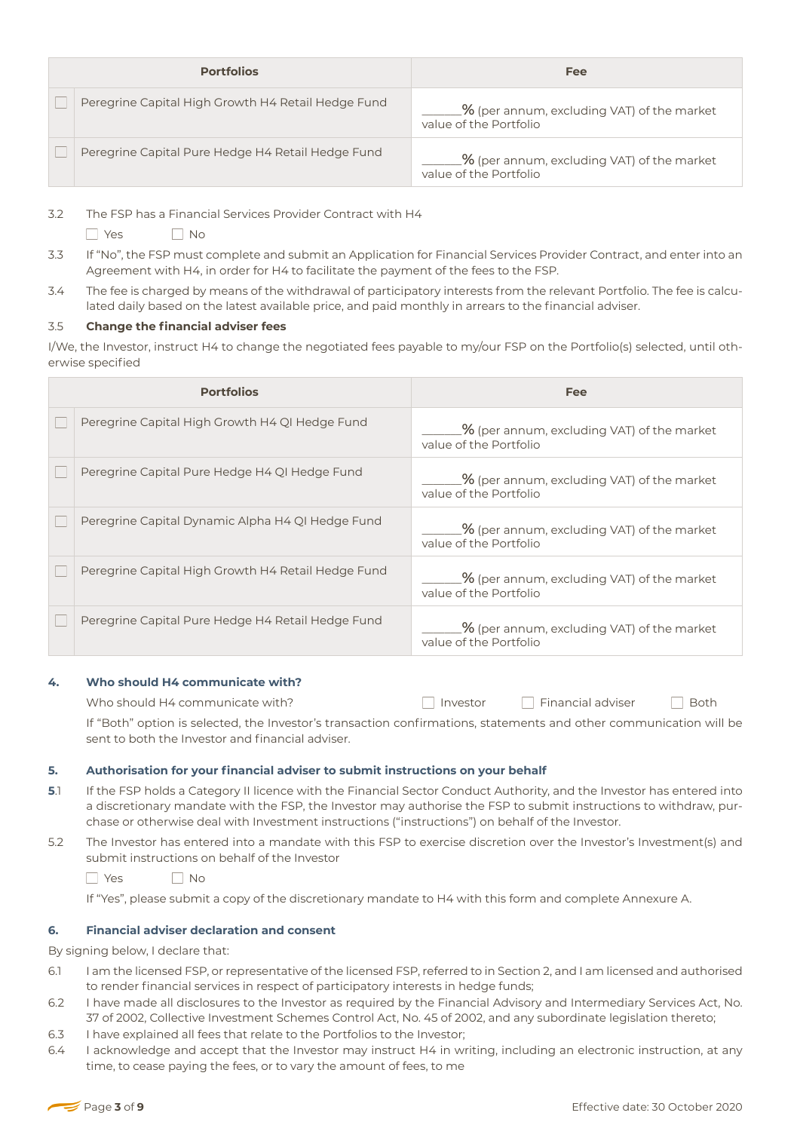| <b>Portfolios</b> |                                                    | Fee                                                                              |
|-------------------|----------------------------------------------------|----------------------------------------------------------------------------------|
|                   | Peregrine Capital High Growth H4 Retail Hedge Fund | $\frac{1}{2}$ (per annum, excluding VAT) of the market<br>value of the Portfolio |
|                   | Peregrine Capital Pure Hedge H4 Retail Hedge Fund  | $\frac{1}{2}$ (per annum, excluding VAT) of the market<br>value of the Portfolio |

3.2 The FSP has a Financial Services Provider Contract with H4

- $\Box$  Yes  $\Box$  No
- 3.3 If "No", the FSP must complete and submit an Application for Financial Services Provider Contract, and enter into an Agreement with H4, in order for H4 to facilitate the payment of the fees to the FSP.
- 3.4 The fee is charged by means of the withdrawal of participatory interests from the relevant Portfolio. The fee is calculated daily based on the latest available price, and paid monthly in arrears to the financial adviser.

# 3.5 **Change the financial adviser fees**

I/We, the Investor, instruct H4 to change the negotiated fees payable to my/our FSP on the Portfolio(s) selected, until otherwise specified

| <b>Portfolios</b>                                  | <b>Fee</b>                                                                       |
|----------------------------------------------------|----------------------------------------------------------------------------------|
| Peregrine Capital High Growth H4 QI Hedge Fund     | $\frac{1}{2}$ (per annum, excluding VAT) of the market<br>value of the Portfolio |
| Peregrine Capital Pure Hedge H4 QI Hedge Fund      | $\_$ % (per annum, excluding VAT) of the market<br>value of the Portfolio        |
| Peregrine Capital Dynamic Alpha H4 QI Hedge Fund   | $\frac{1}{2}$ (per annum, excluding VAT) of the market<br>value of the Portfolio |
| Peregrine Capital High Growth H4 Retail Hedge Fund | $\frac{1}{2}$ (per annum, excluding VAT) of the market<br>value of the Portfolio |
| Peregrine Capital Pure Hedge H4 Retail Hedge Fund  | $\frac{1}{2}$ (per annum, excluding VAT) of the market<br>value of the Portfolio |

# **4. Who should H4 communicate with?**

Who should H4 communicate with?  $\Box$  Investor  $\Box$  Financial adviser  $\Box$  Both

If "Both" option is selected, the Investor's transaction confirmations, statements and other communication will be sent to both the Investor and financial adviser.

# **5. Authorisation for your financial adviser to submit instructions on your behalf**

- **5**.1 If the FSP holds a Category II licence with the Financial Sector Conduct Authority, and the Investor has entered into a discretionary mandate with the FSP, the Investor may authorise the FSP to submit instructions to withdraw, purchase or otherwise deal with Investment instructions ("instructions") on behalf of the Investor.
- 5.2 The Investor has entered into a mandate with this FSP to exercise discretion over the Investor's Investment(s) and submit instructions on behalf of the Investor

YesNo

If "Yes", please submit a copy of the discretionary mandate to H4 with this form and complete Annexure A.

# **6. Financial adviser declaration and consent**

By signing below, I declare that:

- 6.1 I am the licensed FSP, or representative of the licensed FSP, referred to in Section 2, and I am licensed and authorised to render financial services in respect of participatory interests in hedge funds;
- 6.2 I have made all disclosures to the Investor as required by the Financial Advisory and Intermediary Services Act, No. 37 of 2002, Collective Investment Schemes Control Act, No. 45 of 2002, and any subordinate legislation thereto;
- 6.3 I have explained all fees that relate to the Portfolios to the Investor;
- 6.4 I acknowledge and accept that the Investor may instruct H4 in writing, including an electronic instruction, at any time, to cease paying the fees, or to vary the amount of fees, to me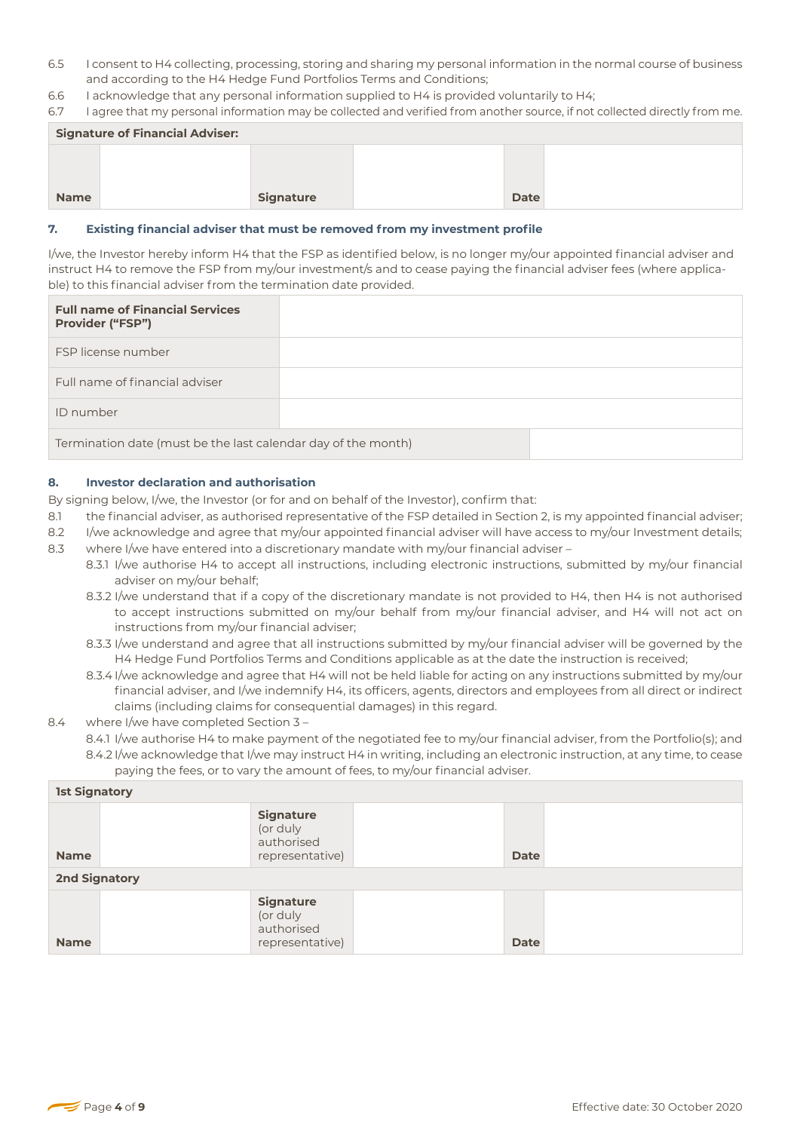- 6.5 I consent to H4 collecting, processing, storing and sharing my personal information in the normal course of business and according to the H4 Hedge Fund Portfolios Terms and Conditions;
- 6.6 I acknowledge that any personal information supplied to H4 is provided voluntarily to H4;

6.7 I agree that my personal information may be collected and verified from another source, if not collected directly from me.

| <b>Signature of Financial Adviser:</b> |  |                  |  |             |  |
|----------------------------------------|--|------------------|--|-------------|--|
|                                        |  |                  |  |             |  |
|                                        |  |                  |  |             |  |
| <b>Name</b>                            |  | <b>Signature</b> |  | <b>Date</b> |  |

## **7. Existing financial adviser that must be removed from my investment profile**

| <b>Full name of Financial Services</b><br><b>Provider ("FSP")</b> |  |  |  |
|-------------------------------------------------------------------|--|--|--|
| FSP license number                                                |  |  |  |
| Full name of financial adviser                                    |  |  |  |
| ID number                                                         |  |  |  |
| Termination date (must be the last calendar day of the month)     |  |  |  |

## **8. Investor declaration and authorisation**

- 8.1 the financial adviser, as authorised representative of the FSP detailed in Section 2, is my appointed financial adviser;
- 8.2 I/we acknowledge and agree that my/our appointed financial adviser will have access to my/our Investment details;
- 8.3 where I/we have entered into a discretionary mandate with my/our financial adviser -
	- 8.3.1 I/we authorise H4 to accept all instructions, including electronic instructions, submitted by my/our financial adviser on my/our behalf;
	- 8.3.2 I/we understand that if a copy of the discretionary mandate is not provided to H4, then H4 is not authorised to accept instructions submitted on my/our behalf from my/our financial adviser, and H4 will not act on instructions from my/our financial adviser;
	- 8.3.3 I/we understand and agree that all instructions submitted by my/our financial adviser will be governed by the H4 Hedge Fund Portfolios Terms and Conditions applicable as at the date the instruction is received;
	- 8.3.4 I/we acknowledge and agree that H4 will not be held liable for acting on any instructions submitted by my/our financial adviser, and I/we indemnify H4, its officers, agents, directors and employees from all direct or indirect claims (including claims for consequential damages) in this regard.

# 8.4 where I/we have completed Section 3 -

| <b>Name</b>              |                                                                                                                                                                                                                                                                                                                                                                                                                                                                                                                                                                                                                                                                                                                                                                                                                                                                                                                                                                                                                                                                                                                                                                                                                                                                                                                                                                                                                                                                                                                                                                                                                                                                                                                                                                                  | <b>Signature</b>                                              |  | Date                                                                                                                                                                                                                                               |  |  |
|--------------------------|----------------------------------------------------------------------------------------------------------------------------------------------------------------------------------------------------------------------------------------------------------------------------------------------------------------------------------------------------------------------------------------------------------------------------------------------------------------------------------------------------------------------------------------------------------------------------------------------------------------------------------------------------------------------------------------------------------------------------------------------------------------------------------------------------------------------------------------------------------------------------------------------------------------------------------------------------------------------------------------------------------------------------------------------------------------------------------------------------------------------------------------------------------------------------------------------------------------------------------------------------------------------------------------------------------------------------------------------------------------------------------------------------------------------------------------------------------------------------------------------------------------------------------------------------------------------------------------------------------------------------------------------------------------------------------------------------------------------------------------------------------------------------------|---------------------------------------------------------------|--|----------------------------------------------------------------------------------------------------------------------------------------------------------------------------------------------------------------------------------------------------|--|--|
| 7.                       | Existing financial adviser that must be removed from my investment profile                                                                                                                                                                                                                                                                                                                                                                                                                                                                                                                                                                                                                                                                                                                                                                                                                                                                                                                                                                                                                                                                                                                                                                                                                                                                                                                                                                                                                                                                                                                                                                                                                                                                                                       |                                                               |  |                                                                                                                                                                                                                                                    |  |  |
|                          | ble) to this financial adviser from the termination date provided.                                                                                                                                                                                                                                                                                                                                                                                                                                                                                                                                                                                                                                                                                                                                                                                                                                                                                                                                                                                                                                                                                                                                                                                                                                                                                                                                                                                                                                                                                                                                                                                                                                                                                                               |                                                               |  | I/we, the Investor hereby inform H4 that the FSP as identified below, is no longer my/our appointed financial adviser and<br>instruct H4 to remove the FSP from my/our investment/s and to cease paying the financial adviser fees (where applica- |  |  |
|                          | <b>Full name of Financial Services</b><br>Provider ("FSP")                                                                                                                                                                                                                                                                                                                                                                                                                                                                                                                                                                                                                                                                                                                                                                                                                                                                                                                                                                                                                                                                                                                                                                                                                                                                                                                                                                                                                                                                                                                                                                                                                                                                                                                       |                                                               |  |                                                                                                                                                                                                                                                    |  |  |
|                          | FSP license number                                                                                                                                                                                                                                                                                                                                                                                                                                                                                                                                                                                                                                                                                                                                                                                                                                                                                                                                                                                                                                                                                                                                                                                                                                                                                                                                                                                                                                                                                                                                                                                                                                                                                                                                                               |                                                               |  |                                                                                                                                                                                                                                                    |  |  |
|                          | Full name of financial adviser                                                                                                                                                                                                                                                                                                                                                                                                                                                                                                                                                                                                                                                                                                                                                                                                                                                                                                                                                                                                                                                                                                                                                                                                                                                                                                                                                                                                                                                                                                                                                                                                                                                                                                                                                   |                                                               |  |                                                                                                                                                                                                                                                    |  |  |
| ID number                |                                                                                                                                                                                                                                                                                                                                                                                                                                                                                                                                                                                                                                                                                                                                                                                                                                                                                                                                                                                                                                                                                                                                                                                                                                                                                                                                                                                                                                                                                                                                                                                                                                                                                                                                                                                  |                                                               |  |                                                                                                                                                                                                                                                    |  |  |
|                          | Termination date (must be the last calendar day of the month)                                                                                                                                                                                                                                                                                                                                                                                                                                                                                                                                                                                                                                                                                                                                                                                                                                                                                                                                                                                                                                                                                                                                                                                                                                                                                                                                                                                                                                                                                                                                                                                                                                                                                                                    |                                                               |  |                                                                                                                                                                                                                                                    |  |  |
| 8.1<br>8.2<br>8.3<br>8.4 | <b>Investor declaration and authorisation</b><br>8.<br>By signing below, I/we, the Investor (or for and on behalf of the Investor), confirm that:<br>the financial adviser, as authorised representative of the FSP detailed in Section 2, is my appointed financial adviser;<br>I/we acknowledge and agree that my/our appointed financial adviser will have access to my/our Investment details;<br>where I/we have entered into a discretionary mandate with my/our financial adviser -<br>8.3.1 I/we authorise H4 to accept all instructions, including electronic instructions, submitted by my/our financial<br>adviser on my/our behalf;<br>8.3.2 I/we understand that if a copy of the discretionary mandate is not provided to H4, then H4 is not authorised<br>to accept instructions submitted on my/our behalf from my/our financial adviser, and H4 will not act on<br>instructions from my/our financial adviser;<br>8.3.3 I/we understand and agree that all instructions submitted by my/our financial adviser will be governed by the<br>H4 Hedge Fund Portfolios Terms and Conditions applicable as at the date the instruction is received;<br>8.3.4 I/we acknowledge and agree that H4 will not be held liable for acting on any instructions submitted by my/our<br>financial adviser, and I/we indemnify H4, its officers, agents, directors and employees from all direct or indirect<br>claims (including claims for consequential damages) in this regard.<br>where I/we have completed Section 3 -<br>8.4.1 I/we authorise H4 to make payment of the negotiated fee to my/our financial adviser, from the Portfolio(s); and<br>8.4.2 I/we acknowledge that I/we may instruct H4 in writing, including an electronic instruction, at any time, to cease |                                                               |  |                                                                                                                                                                                                                                                    |  |  |
|                          | <b>1st Signatory</b>                                                                                                                                                                                                                                                                                                                                                                                                                                                                                                                                                                                                                                                                                                                                                                                                                                                                                                                                                                                                                                                                                                                                                                                                                                                                                                                                                                                                                                                                                                                                                                                                                                                                                                                                                             |                                                               |  |                                                                                                                                                                                                                                                    |  |  |
| <b>Name</b>              |                                                                                                                                                                                                                                                                                                                                                                                                                                                                                                                                                                                                                                                                                                                                                                                                                                                                                                                                                                                                                                                                                                                                                                                                                                                                                                                                                                                                                                                                                                                                                                                                                                                                                                                                                                                  | <b>Signature</b><br>(or duly<br>authorised<br>representative) |  | <b>Date</b>                                                                                                                                                                                                                                        |  |  |
|                          | <b>2nd Signatory</b>                                                                                                                                                                                                                                                                                                                                                                                                                                                                                                                                                                                                                                                                                                                                                                                                                                                                                                                                                                                                                                                                                                                                                                                                                                                                                                                                                                                                                                                                                                                                                                                                                                                                                                                                                             |                                                               |  |                                                                                                                                                                                                                                                    |  |  |
| <b>Name</b>              |                                                                                                                                                                                                                                                                                                                                                                                                                                                                                                                                                                                                                                                                                                                                                                                                                                                                                                                                                                                                                                                                                                                                                                                                                                                                                                                                                                                                                                                                                                                                                                                                                                                                                                                                                                                  | <b>Signature</b><br>(or duly<br>authorised<br>representative) |  | <b>Date</b>                                                                                                                                                                                                                                        |  |  |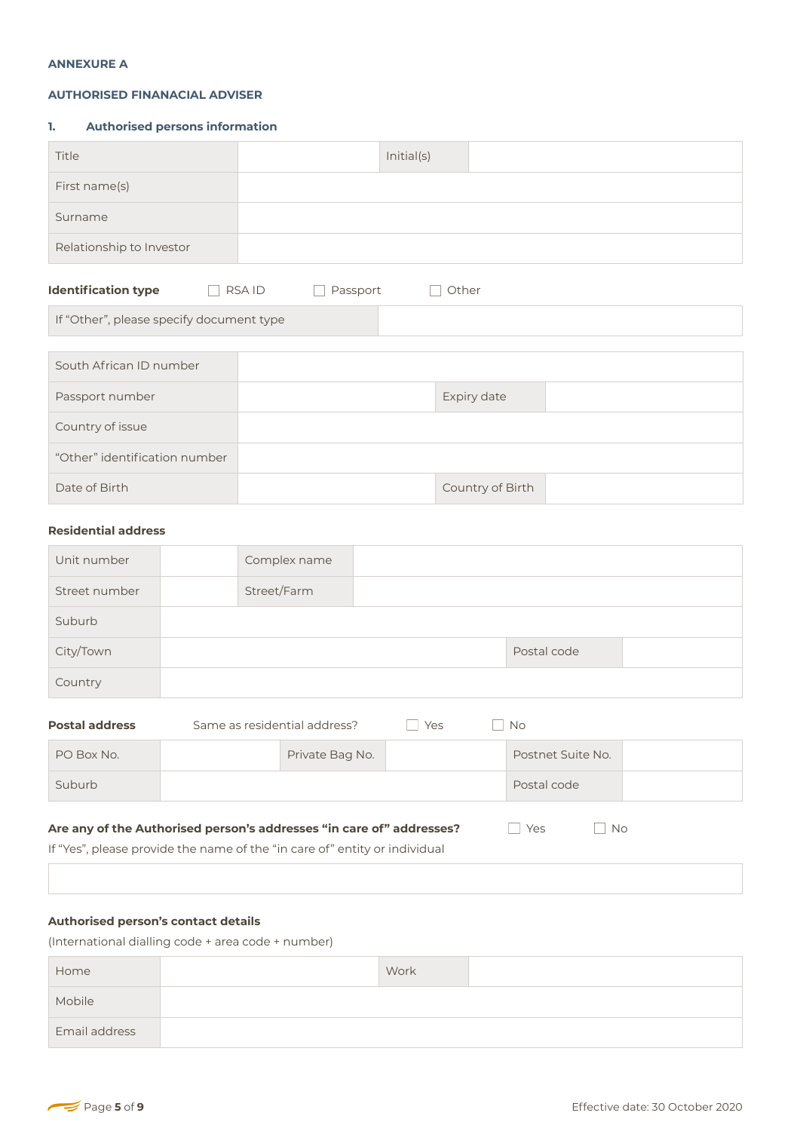#### **ANNEXURE A**

#### **AUTHORISED FINANACIAL ADVISER**

## **1. Authorised persons information**

| Title                                    |                          | Initial(s) |                  |  |
|------------------------------------------|--------------------------|------------|------------------|--|
| First name(s)                            |                          |            |                  |  |
| Surname                                  |                          |            |                  |  |
| Relationship to Investor                 |                          |            |                  |  |
| <b>Identification type</b>               | <b>RSAID</b><br>Passport | Other      |                  |  |
| If "Other", please specify document type |                          |            |                  |  |
|                                          |                          |            |                  |  |
| South African ID number                  |                          |            |                  |  |
| Passport number                          |                          |            | Expiry date      |  |
| Country of issue                         |                          |            |                  |  |
| "Other" identification number            |                          |            |                  |  |
| Date of Birth                            |                          |            | Country of Birth |  |
|                                          |                          |            |                  |  |

## **Residential address**

| Unit number   | Complex name |             |  |
|---------------|--------------|-------------|--|
| Street number | Street/Farm  |             |  |
| Suburb        |              |             |  |
| City/Town     |              | Postal code |  |
| Country       |              |             |  |

| <b>Postal address</b>                                                                    | Same as residential address? | Yes | No.               |  |  |
|------------------------------------------------------------------------------------------|------------------------------|-----|-------------------|--|--|
| PO Box No.                                                                               | Private Bag No.              |     | Postnet Suite No. |  |  |
| Suburb                                                                                   |                              |     | Postal code       |  |  |
| Are any of the Authorised person's addresses "in care of" addresses?<br>Yes<br><b>No</b> |                              |     |                   |  |  |

If "Yes", please provide the name of the "in care of" entity or individual

# **Authorised person's contact details**

(International dialling code + area code + number)

| Home          | Work |  |
|---------------|------|--|
| Mobile        |      |  |
| Email address |      |  |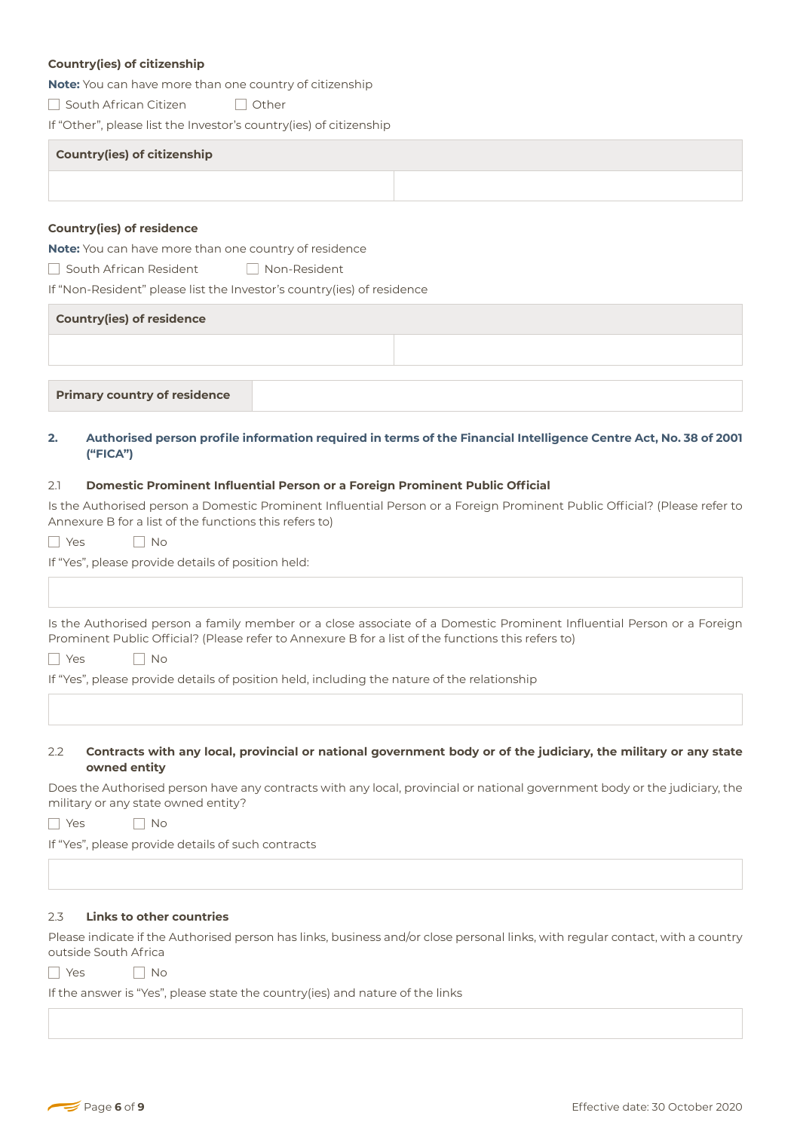## **Country(ies) of citizenship**

**Note:** You can have more than one country of citizenship

□ South African Citizen □ Other

If "Other", please list the Investor's country(ies) of citizenship

| <b>Country(ies) of citizenship</b> |  |  |  |  |  |
|------------------------------------|--|--|--|--|--|
|                                    |  |  |  |  |  |

#### **Country(ies) of residence**

**Note:** You can have more than one country of residence

South African ResidentNon-Resident

If "Non-Resident" please list the Investor's country(ies) of residence

| <b>Country(ies) of residence</b>    |  |  |  |  |  |
|-------------------------------------|--|--|--|--|--|
|                                     |  |  |  |  |  |
|                                     |  |  |  |  |  |
| <b>Primary country of residence</b> |  |  |  |  |  |

## **2. Authorised person profile information required in terms of the Financial Intelligence Centre Act, No. 38 of 2001 ("FICA")**

#### 2.1 **Domestic Prominent Influential Person or a Foreign Prominent Public Official**

Is the Authorised person a Domestic Prominent Influential Person or a Foreign Prominent Public Official? (Please refer to Annexure B for a list of the functions this refers to)

YesNo

If "Yes", please provide details of position held:

Is the Authorised person a family member or a close associate of a Domestic Prominent Influential Person or a Foreign Prominent Public Official? (Please refer to Annexure B for a list of the functions this refers to)

YesNo

If "Yes", please provide details of position held, including the nature of the relationship

#### 2.2 **Contracts with any local, provincial or national government body or of the judiciary, the military or any state owned entity**

Does the Authorised person have any contracts with any local, provincial or national government body or the judiciary, the military or any state owned entity?

YesNo

If "Yes", please provide details of such contracts

#### 2.3 **Links to other countries**

Please indicate if the Authorised person has links, business and/or close personal links, with regular contact, with a country outside South Africa

| $\checkmark$ | Nο |
|--------------|----|
|--------------|----|

If the answer is "Yes", please state the country(ies) and nature of the links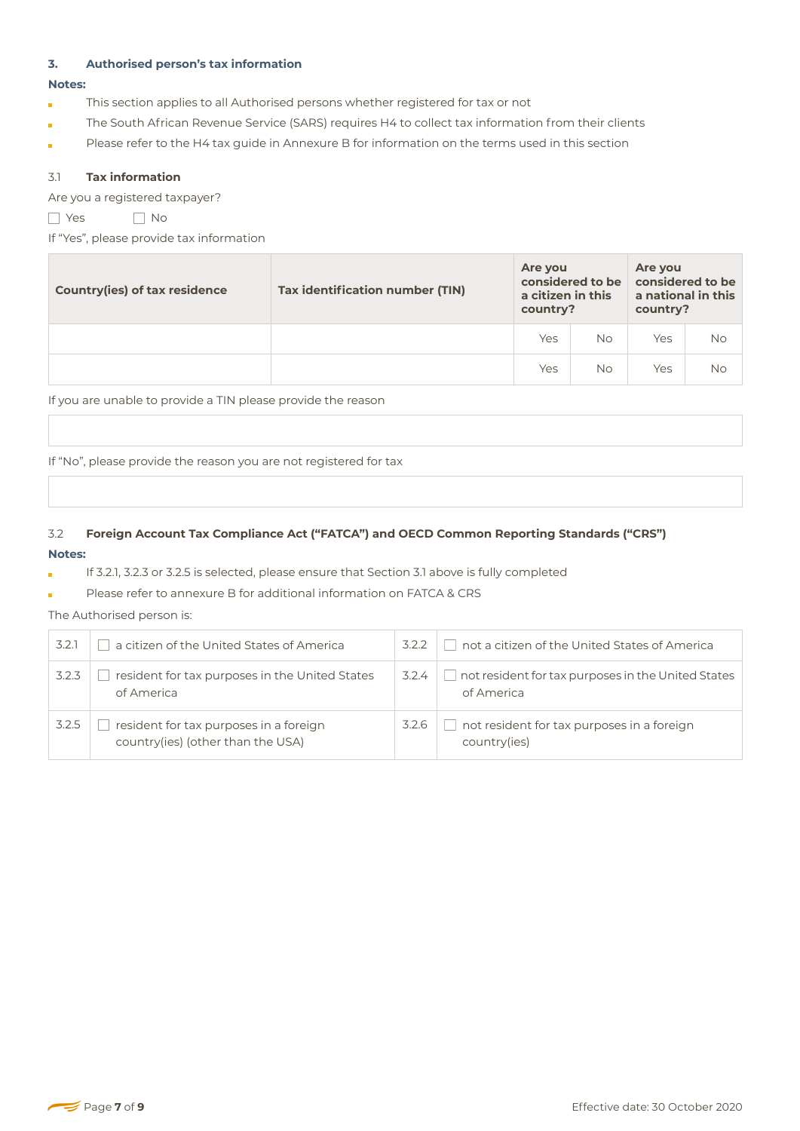# **3. Authorised person's tax information**

#### **Notes:**

- This section applies to all Authorised persons whether registered for tax or not í.
- The South African Revenue Service (SARS) requires H4 to collect tax information from their clients
- Please refer to the H4 tax guide in Annexure B for information on the terms used in this section ÷

## 3.1 **Tax information**

Are you a registered taxpayer?

YesNo

If "Yes", please provide tax information

| <b>Country(ies) of tax residence</b> | Tax identification number (TIN) | Are you<br>considered to be<br>a citizen in this<br>country? |           | Are you<br>considered to be<br>a national in this<br>country? |           |
|--------------------------------------|---------------------------------|--------------------------------------------------------------|-----------|---------------------------------------------------------------|-----------|
|                                      |                                 | Yes                                                          | <b>No</b> | Yes                                                           | <b>No</b> |
|                                      |                                 | Yes                                                          | <b>No</b> | Yes                                                           | <b>No</b> |

If you are unable to provide a TIN please provide the reason

If "No", please provide the reason you are not registered for tax

# 3.2 **Foreign Account Tax Compliance Act ("FATCA") and OECD Common Reporting Standards ("CRS") Notes:**

If 3.2.1, 3.2.3 or 3.2.5 is selected, please ensure that Section 3.1 above is fully completed

Please refer to annexure B for additional information on FATCA & CRS

# The Authorised person is:

| 3.2.1 | a citizen of the United States of America                                   | 3.2.2 | not a citizen of the United States of America                    |
|-------|-----------------------------------------------------------------------------|-------|------------------------------------------------------------------|
| 3.2.3 | resident for tax purposes in the United States<br>of America                | 3.2.4 | not resident for tax purposes in the United States<br>of America |
| 3.2.5 | resident for tax purposes in a foreign<br>country(ies) (other than the USA) | 3.2.6 | not resident for tax purposes in a foreign<br>country(ies)       |

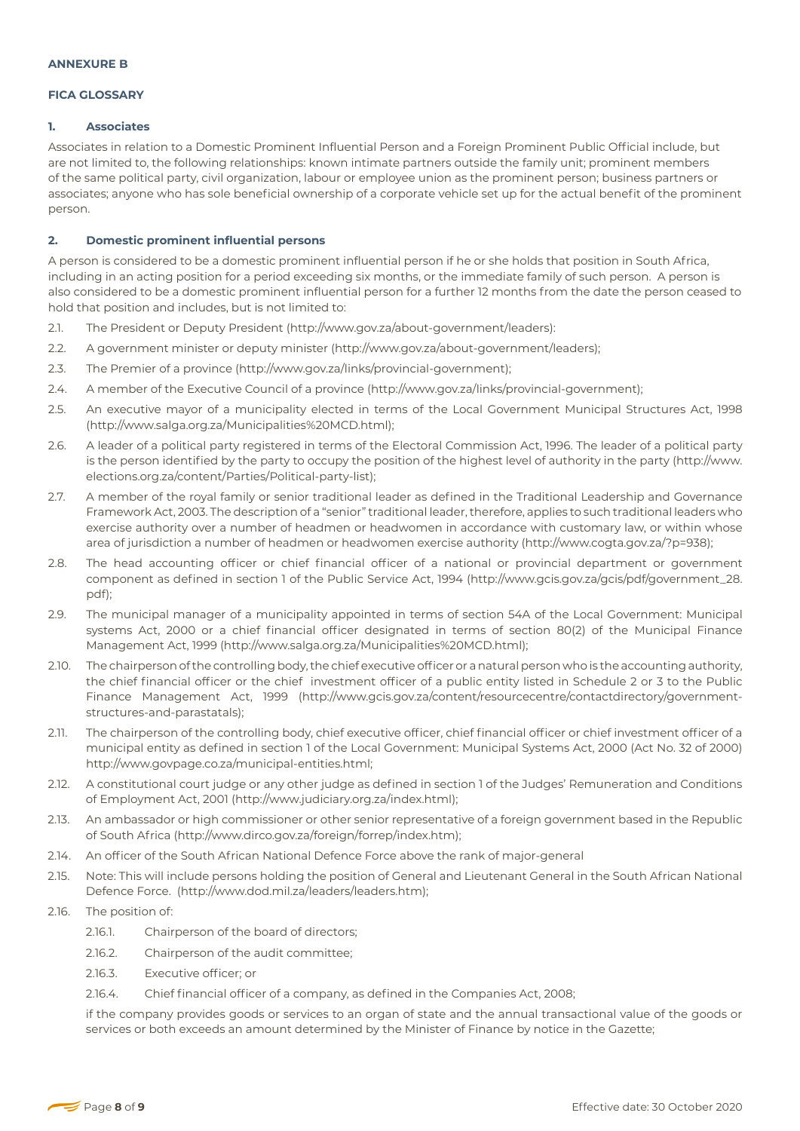#### **FICA GLOSSARY**

#### **1. Associates**

Associates in relation to a Domestic Prominent Influential Person and a Foreign Prominent Public Official include, but are not limited to, the following relationships: known intimate partners outside the family unit; prominent members of the same political party, civil organization, labour or employee union as the prominent person; business partners or associates; anyone who has sole beneficial ownership of a corporate vehicle set up for the actual benefit of the prominent person.

#### **2. Domestic prominent influential persons**

A person is considered to be a domestic prominent influential person if he or she holds that position in South Africa, including in an acting position for a period exceeding six months, or the immediate family of such person. A person is also considered to be a domestic prominent influential person for a further 12 months from the date the person ceased to hold that position and includes, but is not limited to:

- 2.1. The President or Deputy President (http://www.gov.za/about-government/leaders):
- 2.2. A government minister or deputy minister (http://www.gov.za/about-government/leaders);
- 2.3. The Premier of a province (http://www.gov.za/links/provincial-government);
- 2.4. A member of the Executive Council of a province (http://www.gov.za/links/provincial-government);
- 2.5. An executive mayor of a municipality elected in terms of the Local Government Municipal Structures Act, 1998 (http://www.salga.org.za/Municipalities%20MCD.html);
- 2.6. A leader of a political party registered in terms of the Electoral Commission Act, 1996. The leader of a political party is the person identified by the party to occupy the position of the highest level of authority in the party (http://www. elections.org.za/content/Parties/Political-party-list);
- 2.7. A member of the royal family or senior traditional leader as defined in the Traditional Leadership and Governance Framework Act, 2003. The description of a "senior" traditional leader, therefore, applies to such traditional leaders who exercise authority over a number of headmen or headwomen in accordance with customary law, or within whose area of jurisdiction a number of headmen or headwomen exercise authority (http://www.cogta.gov.za/?p=938);
- 2.8. The head accounting officer or chief financial officer of a national or provincial department or government component as defined in section 1 of the Public Service Act, 1994 (http://www.gcis.gov.za/gcis/pdf/government\_28. pdf);
- 2.9. The municipal manager of a municipality appointed in terms of section 54A of the Local Government: Municipal systems Act, 2000 or a chief financial officer designated in terms of section 80(2) of the Municipal Finance Management Act, 1999 (http://www.salga.org.za/Municipalities%20MCD.html);
- 2.10. The chairperson of the controlling body, the chief executive officer or a natural person who is the accounting authority, the chief financial officer or the chief investment officer of a public entity listed in Schedule 2 or 3 to the Public Finance Management Act, 1999 (http://www.gcis.gov.za/content/resourcecentre/contactdirectory/governmentstructures-and-parastatals);
- 2.11. The chairperson of the controlling body, chief executive officer, chief financial officer or chief investment officer of a municipal entity as defined in section 1 of the Local Government: Municipal Systems Act, 2000 (Act No. 32 of 2000) http://www.govpage.co.za/municipal-entities.html;
- 2.12. A constitutional court judge or any other judge as defined in section 1 of the Judges' Remuneration and Conditions of Employment Act, 2001 (http://www.judiciary.org.za/index.html);
- 2.13. An ambassador or high commissioner or other senior representative of a foreign government based in the Republic of South Africa (http://www.dirco.gov.za/foreign/forrep/index.htm);
- 2.14. An officer of the South African National Defence Force above the rank of major-general
- 2.15. Note: This will include persons holding the position of General and Lieutenant General in the South African National Defence Force. (http://www.dod.mil.za/leaders/leaders.htm);
- 2.16. The position of:
	- 2.16.1. Chairperson of the board of directors;
	- 2.16.2. Chairperson of the audit committee;
	- 2.16.3. Executive officer; or
	- 2.16.4. Chief financial officer of a company, as defined in the Companies Act, 2008;

if the company provides goods or services to an organ of state and the annual transactional value of the goods or services or both exceeds an amount determined by the Minister of Finance by notice in the Gazette;